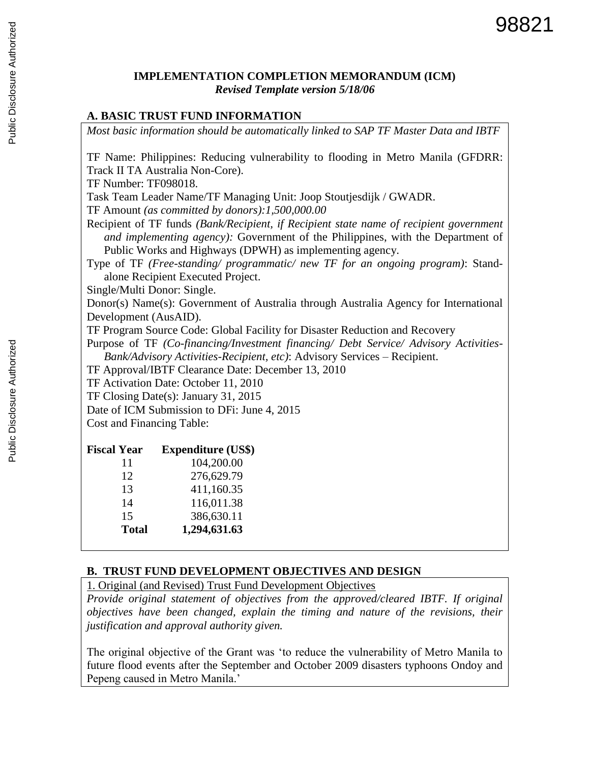### **IMPLEMENTATION COMPLETION MEMORANDUM (ICM)** *Revised Template version 5/18/06*

#### **A. BASIC TRUST FUND INFORMATION**

*Most basic information should be automatically linked to SAP TF Master Data and IBTF*

TF Name: Philippines: Reducing vulnerability to flooding in Metro Manila (GFDRR: Track II TA Australia Non-Core).

TF Number: TF098018.

Task Team Leader Name/TF Managing Unit: Joop Stoutjesdijk / GWADR.

TF Amount *(as committed by donors):1,500,000.00*

- Recipient of TF funds *(Bank/Recipient, if Recipient state name of recipient government and implementing agency):* Government of the Philippines, with the Department of Public Works and Highways (DPWH) as implementing agency.
- Type of TF *(Free-standing/ programmatic/ new TF for an ongoing program)*: Standalone Recipient Executed Project.

Single/Multi Donor: Single.

Donor(s) Name(s): Government of Australia through Australia Agency for International Development (AusAID).

TF Program Source Code: Global Facility for Disaster Reduction and Recovery

Purpose of TF *(Co-financing/Investment financing/ Debt Service/ Advisory Activities-Bank/Advisory Activities-Recipient, etc)*: Advisory Services – Recipient.

TF Approval/IBTF Clearance Date: December 13, 2010

TF Activation Date: October 11, 2010

TF Closing Date(s): January 31, 2015

Date of ICM Submission to DFi: June 4, 2015

Cost and Financing Table:

| <b>Fiscal Year</b> | <b>Expenditure (US\$)</b> |
|--------------------|---------------------------|
| 11                 | 104,200.00                |
| 12                 | 276,629.79                |
| 13                 | 411,160.35                |
| 14                 | 116,011.38                |
| 15                 | 386,630.11                |
| <b>Total</b>       | 1,294,631.63              |

#### **B. TRUST FUND DEVELOPMENT OBJECTIVES AND DESIGN**

1. Original (and Revised) Trust Fund Development Objectives

*Provide original statement of objectives from the approved/cleared IBTF. If original objectives have been changed, explain the timing and nature of the revisions, their justification and approval authority given.*

The original objective of the Grant was 'to reduce the vulnerability of Metro Manila to future flood events after the September and October 2009 disasters typhoons Ondoy and Pepeng caused in Metro Manila.'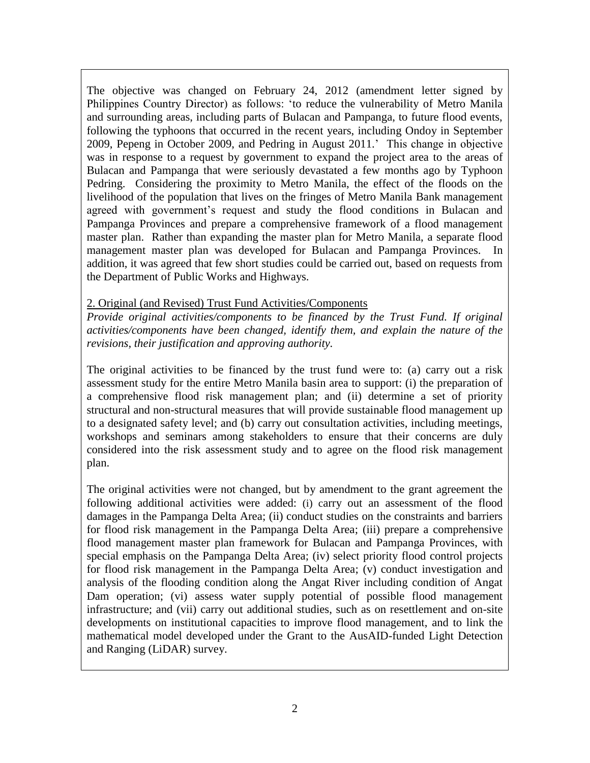The objective was changed on February 24, 2012 (amendment letter signed by Philippines Country Director) as follows: 'to reduce the vulnerability of Metro Manila and surrounding areas, including parts of Bulacan and Pampanga, to future flood events, following the typhoons that occurred in the recent years, including Ondoy in September 2009, Pepeng in October 2009, and Pedring in August 2011.' This change in objective was in response to a request by government to expand the project area to the areas of Bulacan and Pampanga that were seriously devastated a few months ago by Typhoon Pedring. Considering the proximity to Metro Manila, the effect of the floods on the livelihood of the population that lives on the fringes of Metro Manila Bank management agreed with government's request and study the flood conditions in Bulacan and Pampanga Provinces and prepare a comprehensive framework of a flood management master plan. Rather than expanding the master plan for Metro Manila, a separate flood management master plan was developed for Bulacan and Pampanga Provinces. In addition, it was agreed that few short studies could be carried out, based on requests from the Department of Public Works and Highways.

### 2. Original (and Revised) Trust Fund Activities/Components

*Provide original activities/components to be financed by the Trust Fund. If original activities/components have been changed, identify them, and explain the nature of the revisions, their justification and approving authority.*

The original activities to be financed by the trust fund were to: (a) carry out a risk assessment study for the entire Metro Manila basin area to support: (i) the preparation of a comprehensive flood risk management plan; and (ii) determine a set of priority structural and non-structural measures that will provide sustainable flood management up to a designated safety level; and (b) carry out consultation activities, including meetings, workshops and seminars among stakeholders to ensure that their concerns are duly considered into the risk assessment study and to agree on the flood risk management plan.

The original activities were not changed, but by amendment to the grant agreement the following additional activities were added: (i) carry out an assessment of the flood damages in the Pampanga Delta Area; (ii) conduct studies on the constraints and barriers for flood risk management in the Pampanga Delta Area; (iii) prepare a comprehensive flood management master plan framework for Bulacan and Pampanga Provinces, with special emphasis on the Pampanga Delta Area; (iv) select priority flood control projects for flood risk management in the Pampanga Delta Area; (v) conduct investigation and analysis of the flooding condition along the Angat River including condition of Angat Dam operation; (vi) assess water supply potential of possible flood management infrastructure; and (vii) carry out additional studies, such as on resettlement and on-site developments on institutional capacities to improve flood management, and to link the mathematical model developed under the Grant to the AusAID-funded Light Detection and Ranging (LiDAR) survey.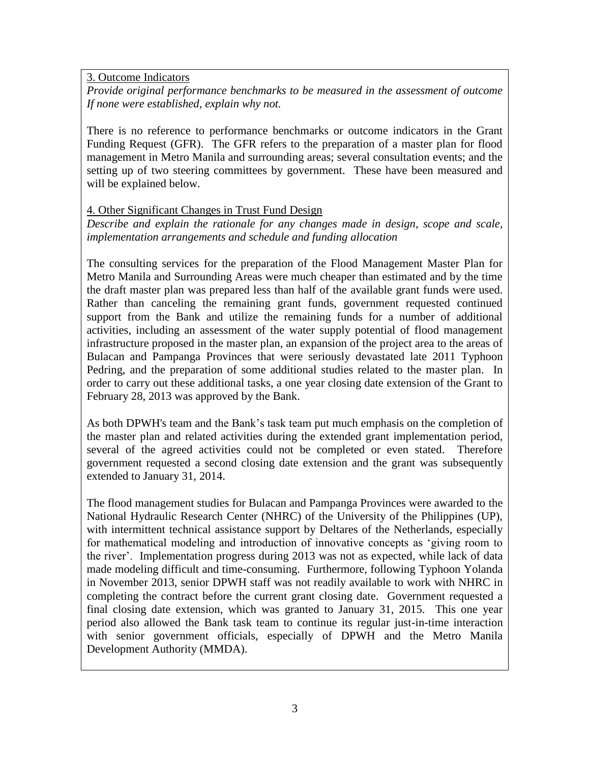3. Outcome Indicators

*Provide original performance benchmarks to be measured in the assessment of outcome If none were established, explain why not.*

There is no reference to performance benchmarks or outcome indicators in the Grant Funding Request (GFR). The GFR refers to the preparation of a master plan for flood management in Metro Manila and surrounding areas; several consultation events; and the setting up of two steering committees by government. These have been measured and will be explained below.

#### 4. Other Significant Changes in Trust Fund Design

*Describe and explain the rationale for any changes made in design, scope and scale, implementation arrangements and schedule and funding allocation*

The consulting services for the preparation of the Flood Management Master Plan for Metro Manila and Surrounding Areas were much cheaper than estimated and by the time the draft master plan was prepared less than half of the available grant funds were used. Rather than canceling the remaining grant funds, government requested continued support from the Bank and utilize the remaining funds for a number of additional activities, including an assessment of the water supply potential of flood management infrastructure proposed in the master plan, an expansion of the project area to the areas of Bulacan and Pampanga Provinces that were seriously devastated late 2011 Typhoon Pedring, and the preparation of some additional studies related to the master plan. In order to carry out these additional tasks, a one year closing date extension of the Grant to February 28, 2013 was approved by the Bank.

As both DPWH's team and the Bank's task team put much emphasis on the completion of the master plan and related activities during the extended grant implementation period, several of the agreed activities could not be completed or even stated. Therefore government requested a second closing date extension and the grant was subsequently extended to January 31, 2014.

The flood management studies for Bulacan and Pampanga Provinces were awarded to the National Hydraulic Research Center (NHRC) of the University of the Philippines (UP), with intermittent technical assistance support by Deltares of the Netherlands, especially for mathematical modeling and introduction of innovative concepts as 'giving room to the river'. Implementation progress during 2013 was not as expected, while lack of data made modeling difficult and time-consuming. Furthermore, following Typhoon Yolanda in November 2013, senior DPWH staff was not readily available to work with NHRC in completing the contract before the current grant closing date. Government requested a final closing date extension, which was granted to January 31, 2015. This one year period also allowed the Bank task team to continue its regular just-in-time interaction with senior government officials, especially of DPWH and the Metro Manila Development Authority (MMDA).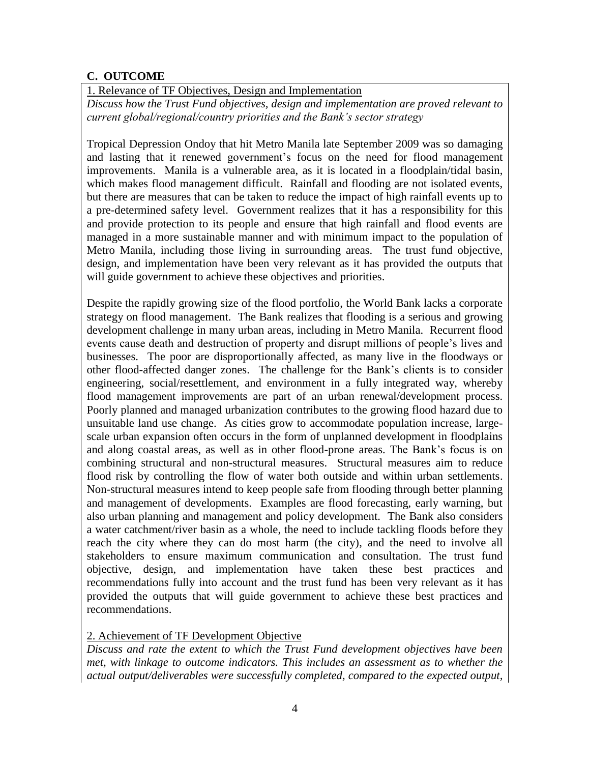## **C. OUTCOME**

1. Relevance of TF Objectives, Design and Implementation

*Discuss how the Trust Fund objectives, design and implementation are proved relevant to current global/regional/country priorities and the Bank's sector strategy*

Tropical Depression Ondoy that hit Metro Manila late September 2009 was so damaging and lasting that it renewed government's focus on the need for flood management improvements. Manila is a vulnerable area, as it is located in a floodplain/tidal basin, which makes flood management difficult. Rainfall and flooding are not isolated events, but there are measures that can be taken to reduce the impact of high rainfall events up to a pre-determined safety level. Government realizes that it has a responsibility for this and provide protection to its people and ensure that high rainfall and flood events are managed in a more sustainable manner and with minimum impact to the population of Metro Manila, including those living in surrounding areas. The trust fund objective, design, and implementation have been very relevant as it has provided the outputs that will guide government to achieve these objectives and priorities.

Despite the rapidly growing size of the flood portfolio, the World Bank lacks a corporate strategy on flood management. The Bank realizes that flooding is a serious and growing development challenge in many urban areas, including in Metro Manila. Recurrent flood events cause death and destruction of property and disrupt millions of people's lives and businesses. The poor are disproportionally affected, as many live in the floodways or other flood-affected danger zones. The challenge for the Bank's clients is to consider engineering, social/resettlement, and environment in a fully integrated way, whereby flood management improvements are part of an urban renewal/development process. Poorly planned and managed urbanization contributes to the growing flood hazard due to unsuitable land use change. As cities grow to accommodate population increase, largescale urban expansion often occurs in the form of unplanned development in floodplains and along coastal areas, as well as in other flood-prone areas. The Bank's focus is on combining structural and non-structural measures. Structural measures aim to reduce flood risk by controlling the flow of water both outside and within urban settlements. Non-structural measures intend to keep people safe from flooding through better planning and management of developments. Examples are flood forecasting, early warning, but also urban planning and management and policy development. The Bank also considers a water catchment/river basin as a whole, the need to include tackling floods before they reach the city where they can do most harm (the city), and the need to involve all stakeholders to ensure maximum communication and consultation. The trust fund objective, design, and implementation have taken these best practices and recommendations fully into account and the trust fund has been very relevant as it has provided the outputs that will guide government to achieve these best practices and recommendations.

### 2. Achievement of TF Development Objective

*Discuss and rate the extent to which the Trust Fund development objectives have been met, with linkage to outcome indicators. This includes an assessment as to whether the actual output/deliverables were successfully completed, compared to the expected output,*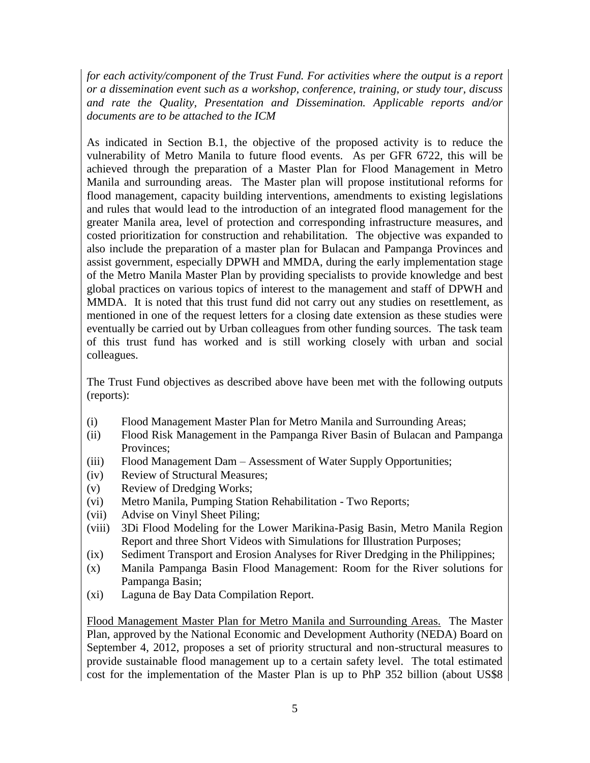*for each activity/component of the Trust Fund. For activities where the output is a report or a dissemination event such as a workshop, conference, training, or study tour, discuss and rate the Quality, Presentation and Dissemination. Applicable reports and/or documents are to be attached to the ICM*

As indicated in Section B.1, the objective of the proposed activity is to reduce the vulnerability of Metro Manila to future flood events. As per GFR 6722, this will be achieved through the preparation of a Master Plan for Flood Management in Metro Manila and surrounding areas. The Master plan will propose institutional reforms for flood management, capacity building interventions, amendments to existing legislations and rules that would lead to the introduction of an integrated flood management for the greater Manila area, level of protection and corresponding infrastructure measures, and costed prioritization for construction and rehabilitation. The objective was expanded to also include the preparation of a master plan for Bulacan and Pampanga Provinces and assist government, especially DPWH and MMDA, during the early implementation stage of the Metro Manila Master Plan by providing specialists to provide knowledge and best global practices on various topics of interest to the management and staff of DPWH and MMDA. It is noted that this trust fund did not carry out any studies on resettlement, as mentioned in one of the request letters for a closing date extension as these studies were eventually be carried out by Urban colleagues from other funding sources. The task team of this trust fund has worked and is still working closely with urban and social colleagues.

The Trust Fund objectives as described above have been met with the following outputs (reports):

- (i) Flood Management Master Plan for Metro Manila and Surrounding Areas;
- (ii) Flood Risk Management in the Pampanga River Basin of Bulacan and Pampanga Provinces;
- (iii) Flood Management Dam Assessment of Water Supply Opportunities;
- (iv) Review of Structural Measures;
- (v) Review of Dredging Works;
- (vi) Metro Manila, Pumping Station Rehabilitation Two Reports;
- (vii) Advise on Vinyl Sheet Piling;
- (viii) 3Di Flood Modeling for the Lower Marikina-Pasig Basin, Metro Manila Region Report and three Short Videos with Simulations for Illustration Purposes;
- (ix) Sediment Transport and Erosion Analyses for River Dredging in the Philippines;
- (x) Manila Pampanga Basin Flood Management: Room for the River solutions for Pampanga Basin;
- (xi) Laguna de Bay Data Compilation Report.

Flood Management Master Plan for Metro Manila and Surrounding Areas. The Master Plan, approved by the National Economic and Development Authority (NEDA) Board on September 4, 2012, proposes a set of priority structural and non-structural measures to provide sustainable flood management up to a certain safety level. The total estimated cost for the implementation of the Master Plan is up to PhP 352 billion (about US\$8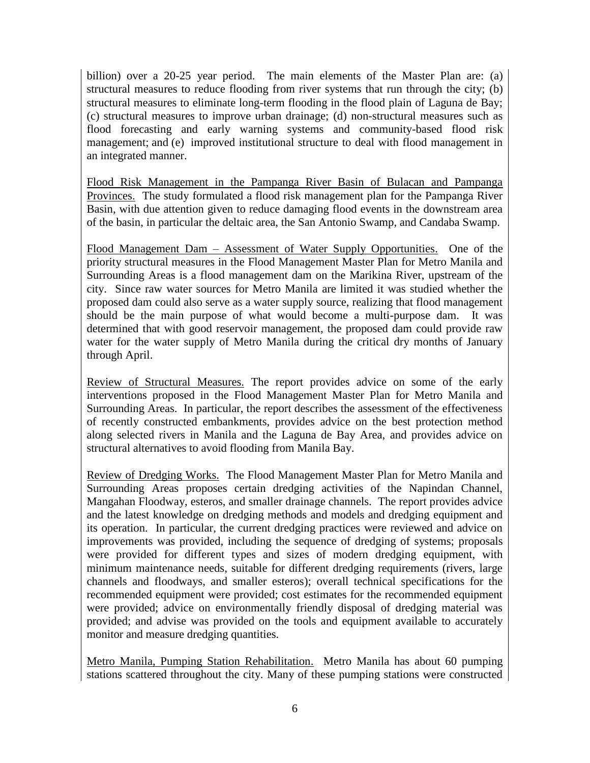billion) over a 20-25 year period. The main elements of the Master Plan are: (a) structural measures to reduce flooding from river systems that run through the city; (b) structural measures to eliminate long-term flooding in the flood plain of Laguna de Bay; (c) structural measures to improve urban drainage; (d) non-structural measures such as flood forecasting and early warning systems and community-based flood risk management; and (e) improved institutional structure to deal with flood management in an integrated manner.

Flood Risk Management in the Pampanga River Basin of Bulacan and Pampanga Provinces. The study formulated a flood risk management plan for the Pampanga River Basin, with due attention given to reduce damaging flood events in the downstream area of the basin, in particular the deltaic area, the San Antonio Swamp, and Candaba Swamp.

Flood Management Dam – Assessment of Water Supply Opportunities. One of the priority structural measures in the Flood Management Master Plan for Metro Manila and Surrounding Areas is a flood management dam on the Marikina River, upstream of the city. Since raw water sources for Metro Manila are limited it was studied whether the proposed dam could also serve as a water supply source, realizing that flood management should be the main purpose of what would become a multi-purpose dam. It was determined that with good reservoir management, the proposed dam could provide raw water for the water supply of Metro Manila during the critical dry months of January through April.

Review of Structural Measures. The report provides advice on some of the early interventions proposed in the Flood Management Master Plan for Metro Manila and Surrounding Areas. In particular, the report describes the assessment of the effectiveness of recently constructed embankments, provides advice on the best protection method along selected rivers in Manila and the Laguna de Bay Area, and provides advice on structural alternatives to avoid flooding from Manila Bay.

Review of Dredging Works. The Flood Management Master Plan for Metro Manila and Surrounding Areas proposes certain dredging activities of the Napindan Channel, Mangahan Floodway, esteros, and smaller drainage channels. The report provides advice and the latest knowledge on dredging methods and models and dredging equipment and its operation. In particular, the current dredging practices were reviewed and advice on improvements was provided, including the sequence of dredging of systems; proposals were provided for different types and sizes of modern dredging equipment, with minimum maintenance needs, suitable for different dredging requirements (rivers, large channels and floodways, and smaller esteros); overall technical specifications for the recommended equipment were provided; cost estimates for the recommended equipment were provided; advice on environmentally friendly disposal of dredging material was provided; and advise was provided on the tools and equipment available to accurately monitor and measure dredging quantities.

Metro Manila, Pumping Station Rehabilitation. Metro Manila has about 60 pumping stations scattered throughout the city. Many of these pumping stations were constructed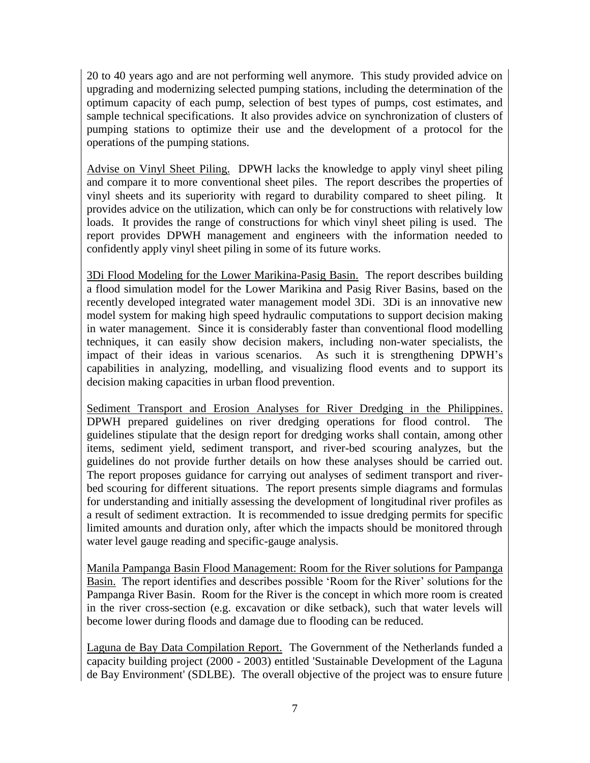20 to 40 years ago and are not performing well anymore. This study provided advice on upgrading and modernizing selected pumping stations, including the determination of the optimum capacity of each pump, selection of best types of pumps, cost estimates, and sample technical specifications. It also provides advice on synchronization of clusters of pumping stations to optimize their use and the development of a protocol for the operations of the pumping stations.

Advise on Vinyl Sheet Piling. DPWH lacks the knowledge to apply vinyl sheet piling and compare it to more conventional sheet piles. The report describes the properties of vinyl sheets and its superiority with regard to durability compared to sheet piling. It provides advice on the utilization, which can only be for constructions with relatively low loads. It provides the range of constructions for which vinyl sheet piling is used. The report provides DPWH management and engineers with the information needed to confidently apply vinyl sheet piling in some of its future works.

3Di Flood Modeling for the Lower Marikina-Pasig Basin. The report describes building a flood simulation model for the Lower Marikina and Pasig River Basins, based on the recently developed integrated water management model 3Di. 3Di is an innovative new model system for making high speed hydraulic computations to support decision making in water management. Since it is considerably faster than conventional flood modelling techniques, it can easily show decision makers, including non-water specialists, the impact of their ideas in various scenarios. As such it is strengthening DPWH's capabilities in analyzing, modelling, and visualizing flood events and to support its decision making capacities in urban flood prevention.

Sediment Transport and Erosion Analyses for River Dredging in the Philippines. DPWH prepared guidelines on river dredging operations for flood control. The guidelines stipulate that the design report for dredging works shall contain, among other items, sediment yield, sediment transport, and river-bed scouring analyzes, but the guidelines do not provide further details on how these analyses should be carried out. The report proposes guidance for carrying out analyses of sediment transport and riverbed scouring for different situations. The report presents simple diagrams and formulas for understanding and initially assessing the development of longitudinal river profiles as a result of sediment extraction. It is recommended to issue dredging permits for specific limited amounts and duration only, after which the impacts should be monitored through water level gauge reading and specific-gauge analysis.

Manila Pampanga Basin Flood Management: Room for the River solutions for Pampanga Basin. The report identifies and describes possible 'Room for the River' solutions for the Pampanga River Basin. Room for the River is the concept in which more room is created in the river cross-section (e.g. excavation or dike setback), such that water levels will become lower during floods and damage due to flooding can be reduced.

Laguna de Bay Data Compilation Report. The Government of the Netherlands funded a capacity building project (2000 - 2003) entitled 'Sustainable Development of the Laguna de Bay Environment' (SDLBE). The overall objective of the project was to ensure future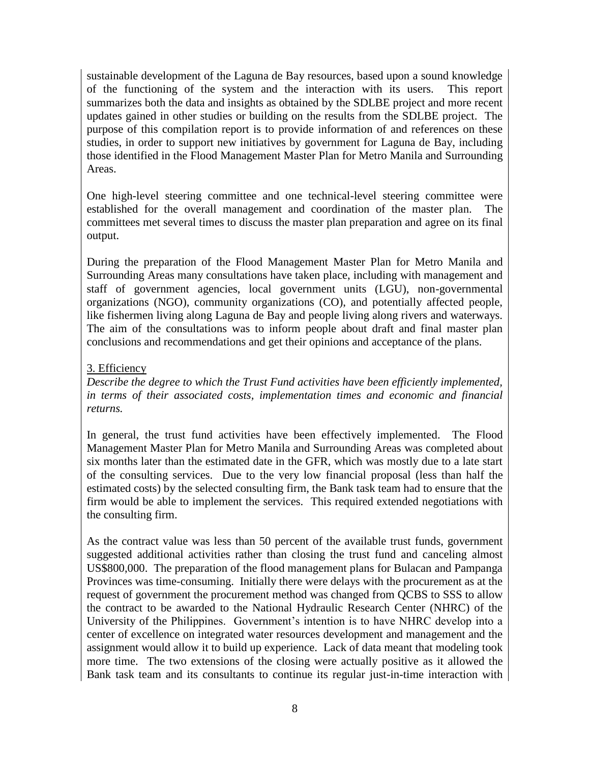sustainable development of the Laguna de Bay resources, based upon a sound knowledge of the functioning of the system and the interaction with its users. This report summarizes both the data and insights as obtained by the SDLBE project and more recent updates gained in other studies or building on the results from the SDLBE project. The purpose of this compilation report is to provide information of and references on these studies, in order to support new initiatives by government for Laguna de Bay, including those identified in the Flood Management Master Plan for Metro Manila and Surrounding Areas.

One high-level steering committee and one technical-level steering committee were established for the overall management and coordination of the master plan. The committees met several times to discuss the master plan preparation and agree on its final output.

During the preparation of the Flood Management Master Plan for Metro Manila and Surrounding Areas many consultations have taken place, including with management and staff of government agencies, local government units (LGU), non-governmental organizations (NGO), community organizations (CO), and potentially affected people, like fishermen living along Laguna de Bay and people living along rivers and waterways. The aim of the consultations was to inform people about draft and final master plan conclusions and recommendations and get their opinions and acceptance of the plans.

## 3. Efficiency

*Describe the degree to which the Trust Fund activities have been efficiently implemented, in terms of their associated costs, implementation times and economic and financial returns.*

In general, the trust fund activities have been effectively implemented. The Flood Management Master Plan for Metro Manila and Surrounding Areas was completed about six months later than the estimated date in the GFR, which was mostly due to a late start of the consulting services. Due to the very low financial proposal (less than half the estimated costs) by the selected consulting firm, the Bank task team had to ensure that the firm would be able to implement the services. This required extended negotiations with the consulting firm.

As the contract value was less than 50 percent of the available trust funds, government suggested additional activities rather than closing the trust fund and canceling almost US\$800,000. The preparation of the flood management plans for Bulacan and Pampanga Provinces was time-consuming. Initially there were delays with the procurement as at the request of government the procurement method was changed from QCBS to SSS to allow the contract to be awarded to the National Hydraulic Research Center (NHRC) of the University of the Philippines. Government's intention is to have NHRC develop into a center of excellence on integrated water resources development and management and the assignment would allow it to build up experience. Lack of data meant that modeling took more time. The two extensions of the closing were actually positive as it allowed the Bank task team and its consultants to continue its regular just-in-time interaction with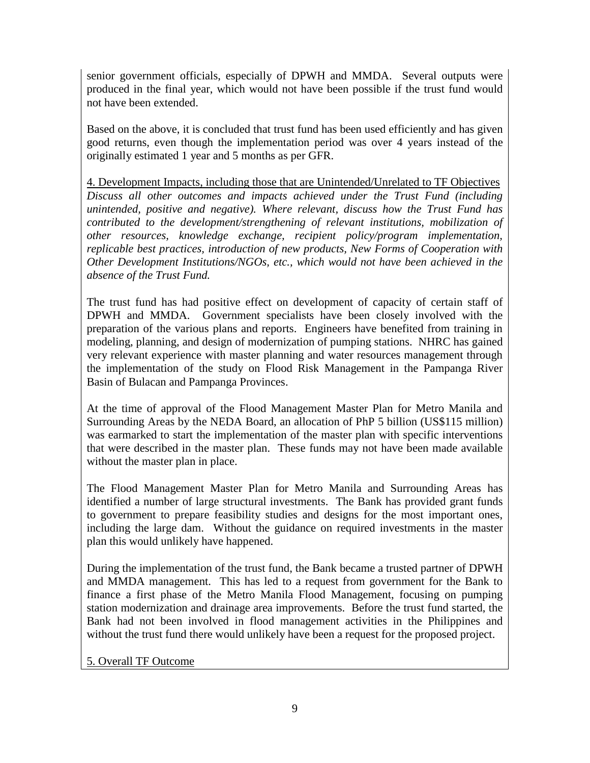senior government officials, especially of DPWH and MMDA. Several outputs were produced in the final year, which would not have been possible if the trust fund would not have been extended.

Based on the above, it is concluded that trust fund has been used efficiently and has given good returns, even though the implementation period was over 4 years instead of the originally estimated 1 year and 5 months as per GFR.

4. Development Impacts, including those that are Unintended/Unrelated to TF Objectives *Discuss all other outcomes and impacts achieved under the Trust Fund (including unintended, positive and negative). Where relevant, discuss how the Trust Fund has contributed to the development/strengthening of relevant institutions, mobilization of other resources, knowledge exchange, recipient policy/program implementation, replicable best practices, introduction of new products, New Forms of Cooperation with Other Development Institutions/NGOs, etc., which would not have been achieved in the absence of the Trust Fund.* 

The trust fund has had positive effect on development of capacity of certain staff of DPWH and MMDA. Government specialists have been closely involved with the preparation of the various plans and reports. Engineers have benefited from training in modeling, planning, and design of modernization of pumping stations. NHRC has gained very relevant experience with master planning and water resources management through the implementation of the study on Flood Risk Management in the Pampanga River Basin of Bulacan and Pampanga Provinces.

At the time of approval of the Flood Management Master Plan for Metro Manila and Surrounding Areas by the NEDA Board, an allocation of PhP 5 billion (US\$115 million) was earmarked to start the implementation of the master plan with specific interventions that were described in the master plan. These funds may not have been made available without the master plan in place.

The Flood Management Master Plan for Metro Manila and Surrounding Areas has identified a number of large structural investments. The Bank has provided grant funds to government to prepare feasibility studies and designs for the most important ones, including the large dam. Without the guidance on required investments in the master plan this would unlikely have happened.

During the implementation of the trust fund, the Bank became a trusted partner of DPWH and MMDA management. This has led to a request from government for the Bank to finance a first phase of the Metro Manila Flood Management, focusing on pumping station modernization and drainage area improvements. Before the trust fund started, the Bank had not been involved in flood management activities in the Philippines and without the trust fund there would unlikely have been a request for the proposed project.

5. Overall TF Outcome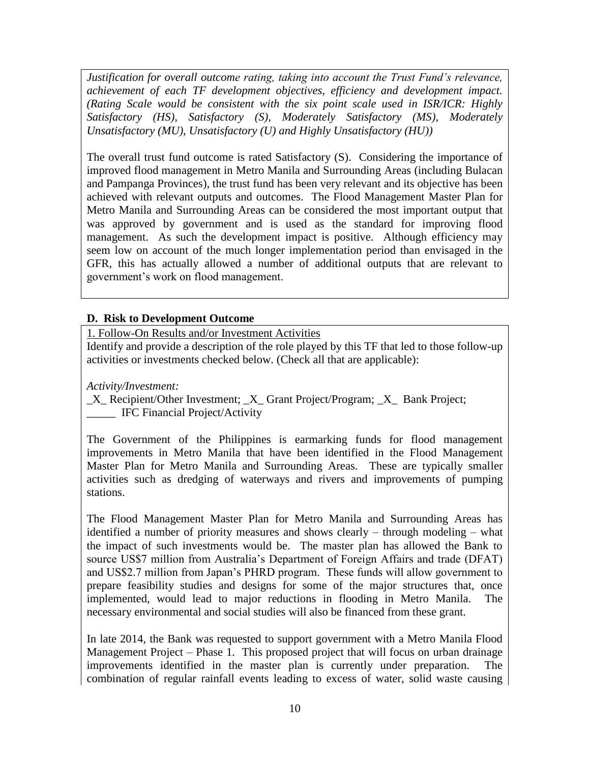*Justification for overall outcome rating, taking into account the Trust Fund's relevance, achievement of each TF development objectives, efficiency and development impact. (Rating Scale would be consistent with the six point scale used in ISR/ICR: Highly Satisfactory (HS), Satisfactory (S), Moderately Satisfactory (MS), Moderately Unsatisfactory (MU), Unsatisfactory (U) and Highly Unsatisfactory (HU))*

The overall trust fund outcome is rated Satisfactory (S). Considering the importance of improved flood management in Metro Manila and Surrounding Areas (including Bulacan and Pampanga Provinces), the trust fund has been very relevant and its objective has been achieved with relevant outputs and outcomes. The Flood Management Master Plan for Metro Manila and Surrounding Areas can be considered the most important output that was approved by government and is used as the standard for improving flood management. As such the development impact is positive. Although efficiency may seem low on account of the much longer implementation period than envisaged in the GFR, this has actually allowed a number of additional outputs that are relevant to government's work on flood management.

### **D. Risk to Development Outcome**

1. Follow-On Results and/or Investment Activities

Identify and provide a description of the role played by this TF that led to those follow-up activities or investments checked below. (Check all that are applicable):

*Activity/Investment:*

\_X\_ Recipient/Other Investment; \_X\_ Grant Project/Program; \_X\_ Bank Project; IFC Financial Project/Activity

The Government of the Philippines is earmarking funds for flood management improvements in Metro Manila that have been identified in the Flood Management Master Plan for Metro Manila and Surrounding Areas. These are typically smaller activities such as dredging of waterways and rivers and improvements of pumping stations.

The Flood Management Master Plan for Metro Manila and Surrounding Areas has identified a number of priority measures and shows clearly – through modeling – what the impact of such investments would be. The master plan has allowed the Bank to source US\$7 million from Australia's Department of Foreign Affairs and trade (DFAT) and US\$2.7 million from Japan's PHRD program. These funds will allow government to prepare feasibility studies and designs for some of the major structures that, once implemented, would lead to major reductions in flooding in Metro Manila. The necessary environmental and social studies will also be financed from these grant.

In late 2014, the Bank was requested to support government with a Metro Manila Flood Management Project – Phase 1. This proposed project that will focus on urban drainage improvements identified in the master plan is currently under preparation. The combination of regular rainfall events leading to excess of water, solid waste causing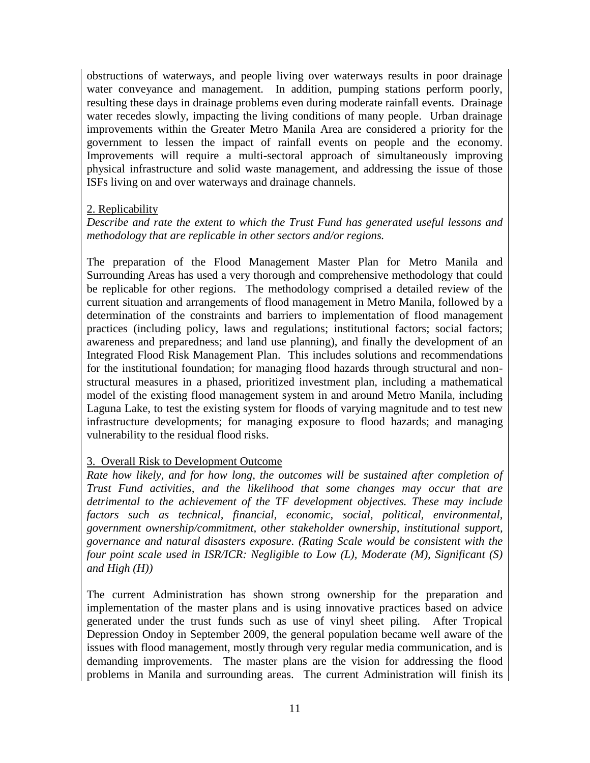obstructions of waterways, and people living over waterways results in poor drainage water conveyance and management. In addition, pumping stations perform poorly, resulting these days in drainage problems even during moderate rainfall events. Drainage water recedes slowly, impacting the living conditions of many people. Urban drainage improvements within the Greater Metro Manila Area are considered a priority for the government to lessen the impact of rainfall events on people and the economy. Improvements will require a multi-sectoral approach of simultaneously improving physical infrastructure and solid waste management, and addressing the issue of those ISFs living on and over waterways and drainage channels.

### 2. Replicability

*Describe and rate the extent to which the Trust Fund has generated useful lessons and methodology that are replicable in other sectors and/or regions.*

The preparation of the Flood Management Master Plan for Metro Manila and Surrounding Areas has used a very thorough and comprehensive methodology that could be replicable for other regions. The methodology comprised a detailed review of the current situation and arrangements of flood management in Metro Manila, followed by a determination of the constraints and barriers to implementation of flood management practices (including policy, laws and regulations; institutional factors; social factors; awareness and preparedness; and land use planning), and finally the development of an Integrated Flood Risk Management Plan. This includes solutions and recommendations for the institutional foundation; for managing flood hazards through structural and nonstructural measures in a phased, prioritized investment plan, including a mathematical model of the existing flood management system in and around Metro Manila, including Laguna Lake, to test the existing system for floods of varying magnitude and to test new infrastructure developments; for managing exposure to flood hazards; and managing vulnerability to the residual flood risks.

### 3. Overall Risk to Development Outcome

*Rate how likely, and for how long, the outcomes will be sustained after completion of Trust Fund activities, and the likelihood that some changes may occur that are detrimental to the achievement of the TF development objectives. These may include factors such as technical, financial, economic, social, political, environmental, government ownership/commitment, other stakeholder ownership, institutional support, governance and natural disasters exposure. (Rating Scale would be consistent with the four point scale used in ISR/ICR: Negligible to Low (L), Moderate (M), Significant (S) and High (H))*

The current Administration has shown strong ownership for the preparation and implementation of the master plans and is using innovative practices based on advice generated under the trust funds such as use of vinyl sheet piling. After Tropical Depression Ondoy in September 2009, the general population became well aware of the issues with flood management, mostly through very regular media communication, and is demanding improvements. The master plans are the vision for addressing the flood problems in Manila and surrounding areas. The current Administration will finish its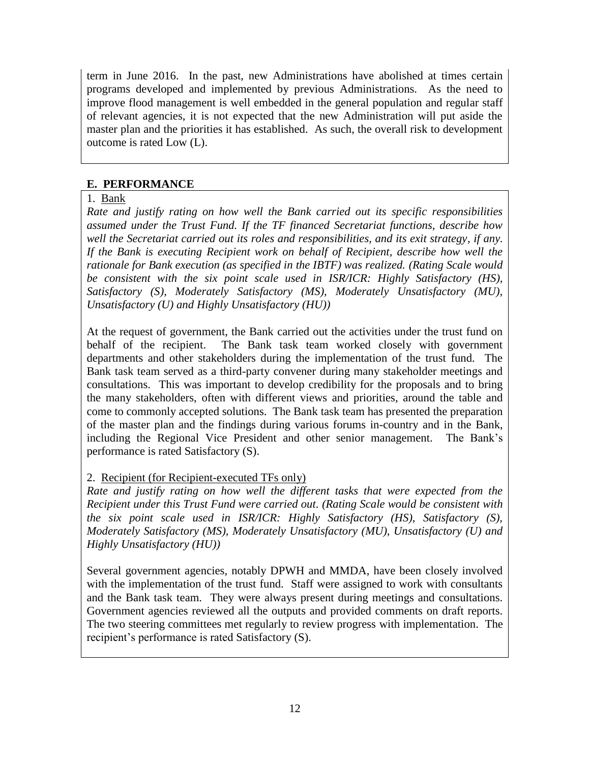term in June 2016. In the past, new Administrations have abolished at times certain programs developed and implemented by previous Administrations. As the need to improve flood management is well embedded in the general population and regular staff of relevant agencies, it is not expected that the new Administration will put aside the master plan and the priorities it has established. As such, the overall risk to development outcome is rated Low (L).

## **E. PERFORMANCE**

## 1. Bank

*Rate and justify rating on how well the Bank carried out its specific responsibilities assumed under the Trust Fund. If the TF financed Secretariat functions, describe how well the Secretariat carried out its roles and responsibilities, and its exit strategy, if any. If the Bank is executing Recipient work on behalf of Recipient, describe how well the rationale for Bank execution (as specified in the IBTF) was realized. (Rating Scale would be consistent with the six point scale used in ISR/ICR: Highly Satisfactory (HS), Satisfactory (S), Moderately Satisfactory (MS), Moderately Unsatisfactory (MU), Unsatisfactory (U) and Highly Unsatisfactory (HU))*

At the request of government, the Bank carried out the activities under the trust fund on behalf of the recipient. The Bank task team worked closely with government departments and other stakeholders during the implementation of the trust fund. The Bank task team served as a third-party convener during many stakeholder meetings and consultations. This was important to develop credibility for the proposals and to bring the many stakeholders, often with different views and priorities, around the table and come to commonly accepted solutions. The Bank task team has presented the preparation of the master plan and the findings during various forums in-country and in the Bank, including the Regional Vice President and other senior management. The Bank's performance is rated Satisfactory (S).

### 2. Recipient (for Recipient-executed TFs only)

*Rate and justify rating on how well the different tasks that were expected from the Recipient under this Trust Fund were carried out. (Rating Scale would be consistent with the six point scale used in ISR/ICR: Highly Satisfactory (HS), Satisfactory (S), Moderately Satisfactory (MS), Moderately Unsatisfactory (MU), Unsatisfactory (U) and Highly Unsatisfactory (HU))*

Several government agencies, notably DPWH and MMDA, have been closely involved with the implementation of the trust fund. Staff were assigned to work with consultants and the Bank task team. They were always present during meetings and consultations. Government agencies reviewed all the outputs and provided comments on draft reports. The two steering committees met regularly to review progress with implementation. The recipient's performance is rated Satisfactory (S).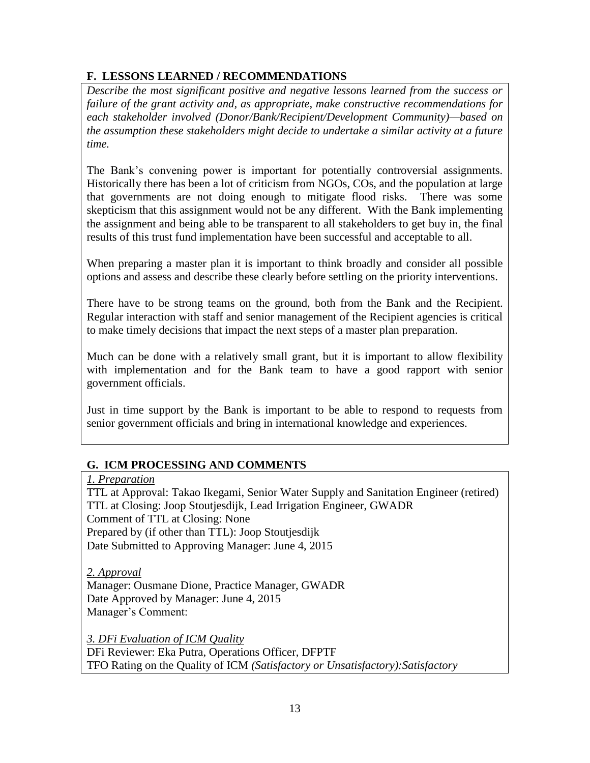# **F. LESSONS LEARNED / RECOMMENDATIONS**

*Describe the most significant positive and negative lessons learned from the success or failure of the grant activity and, as appropriate, make constructive recommendations for each stakeholder involved (Donor/Bank/Recipient/Development Community)—based on the assumption these stakeholders might decide to undertake a similar activity at a future time.*

The Bank's convening power is important for potentially controversial assignments. Historically there has been a lot of criticism from NGOs, COs, and the population at large that governments are not doing enough to mitigate flood risks. There was some skepticism that this assignment would not be any different. With the Bank implementing the assignment and being able to be transparent to all stakeholders to get buy in, the final results of this trust fund implementation have been successful and acceptable to all.

When preparing a master plan it is important to think broadly and consider all possible options and assess and describe these clearly before settling on the priority interventions.

There have to be strong teams on the ground, both from the Bank and the Recipient. Regular interaction with staff and senior management of the Recipient agencies is critical to make timely decisions that impact the next steps of a master plan preparation.

Much can be done with a relatively small grant, but it is important to allow flexibility with implementation and for the Bank team to have a good rapport with senior government officials.

Just in time support by the Bank is important to be able to respond to requests from senior government officials and bring in international knowledge and experiences.

# **G. ICM PROCESSING AND COMMENTS**

### *1. Preparation*

TTL at Approval: Takao Ikegami, Senior Water Supply and Sanitation Engineer (retired) TTL at Closing: Joop Stoutjesdijk, Lead Irrigation Engineer, GWADR Comment of TTL at Closing: None Prepared by (if other than TTL): Joop Stoutjesdijk Date Submitted to Approving Manager: June 4, 2015

*2. Approval* Manager: Ousmane Dione, Practice Manager, GWADR Date Approved by Manager: June 4, 2015 Manager's Comment:

*3. DFi Evaluation of ICM Quality* DFi Reviewer: Eka Putra, Operations Officer, DFPTF TFO Rating on the Quality of ICM *(Satisfactory or Unsatisfactory):Satisfactory*